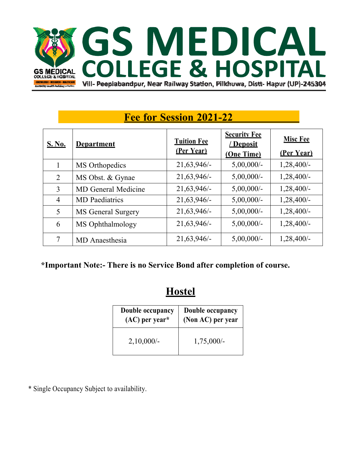

# **Fee for Session 2021-22**

| <b>S. No.</b>  | <b>Department</b>          | <b>Tuition Fee</b><br>(Per Year) | <b>Security Fee</b><br>/ Deposit<br>(One Time) | <b>Misc Fee</b><br>(Per Year) |
|----------------|----------------------------|----------------------------------|------------------------------------------------|-------------------------------|
|                | MS Orthopedics             | $21,63,946/-$                    | $5,00,000/$ -                                  | $1,28,400/-$                  |
| 2              | MS Obst. & Gynae           | $21,63,946/-$                    | $5,00,000/$ -                                  | $1,28,400/-$                  |
| $\overline{3}$ | <b>MD</b> General Medicine | 21,63,946/-                      | $5,00,000/$ -                                  | 1,28,400/-                    |
| $\overline{4}$ | <b>MD</b> Paediatrics      | 21,63,946/-                      | $5,00,000/$ -                                  | $1,28,400/-$                  |
| 5              | MS General Surgery         | $21,63,946/-$                    | $5,00,000/$ -                                  | $1,28,400/-$                  |
| 6              | MS Ophthalmology           | 21,63,946/-                      | $5,00,000/$ -                                  | $1,28,400/-$                  |
| 7              | MD Anaesthesia             | $21,63,946/-$                    | $5,00,000/$ -                                  | $1,28,400/-$                  |

#### **\*Important Note:- There is no Service Bond after completion of course.**

## **Hostel**

| Double occupancy | Double occupancy  |
|------------------|-------------------|
| $(AC)$ per year* | (Non AC) per year |
| 2,10,000/        | $1,75,000/-$      |

\* Single Occupancy Subject to availability.